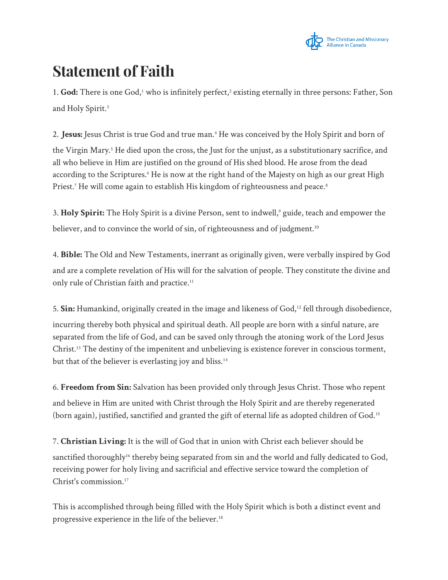

## **Statement of Faith**

1. God: There is one God,<sup>1</sup> who is infinitely perfect,<sup>2</sup> existing eternally in three persons: Father, Son and Holy Spirit.<sup>3</sup>

2. **Jesus:** Jesus Christ is true God and true man.<sup>4</sup> He was conceived by the Holy Spirit and born of the Virgin Mary.<sup>5</sup> He died upon the cross, the Just for the unjust, as a substitutionary sacrifice, and all who believe in Him are justified on the ground of His shed blood. He arose from the dead according to the Scriptures.<sup>6</sup> He is now at the right hand of the Majesty on high as our great High Priest.<sup>7</sup> He will come again to establish His kingdom of righteousness and peace.<sup>8</sup>

3. **Holy Spirit:** The Holy Spirit is a divine Person, sent to indwell,<sup>9</sup> guide, teach and empower the believer, and to convince the world of sin, of righteousness and of judgment.<sup>10</sup>

4. **Bible:** The Old and New Testaments, inerrant as originally given, were verbally inspired by God and are a complete revelation of His will for the salvation of people. They constitute the divine and only rule of Christian faith and practice.<sup>11</sup>

5. **Sin:** Humankind, originally created in the image and likeness of God,<sup>12</sup> fell through disobedience, incurring thereby both physical and spiritual death. All people are born with a sinful nature, are separated from the life of God, and can be saved only through the atoning work of the Lord Jesus Christ.<sup>13</sup> The destiny of the impenitent and unbelieving is existence forever in conscious torment, but that of the believer is everlasting joy and bliss.<sup>14</sup>

6. **Freedom from Sin:** Salvation has been provided only through Jesus Christ. Those who repent and believe in Him are united with Christ through the Holy Spirit and are thereby regenerated (born again), justified, sanctified and granted the gift of eternal life as adopted children of God.<sup>15</sup>

7. **Christian Living:** It is the will of God that in union with Christ each believer should be sanctified thoroughly<sup>16</sup> thereby being separated from sin and the world and fully dedicated to God, receiving power for holy living and sacrificial and effective service toward the completion of Christ's commission.<sup>17</sup>

This is accomplished through being filled with the Holy Spirit which is both a distinct event and progressive experience in the life of the believer.18